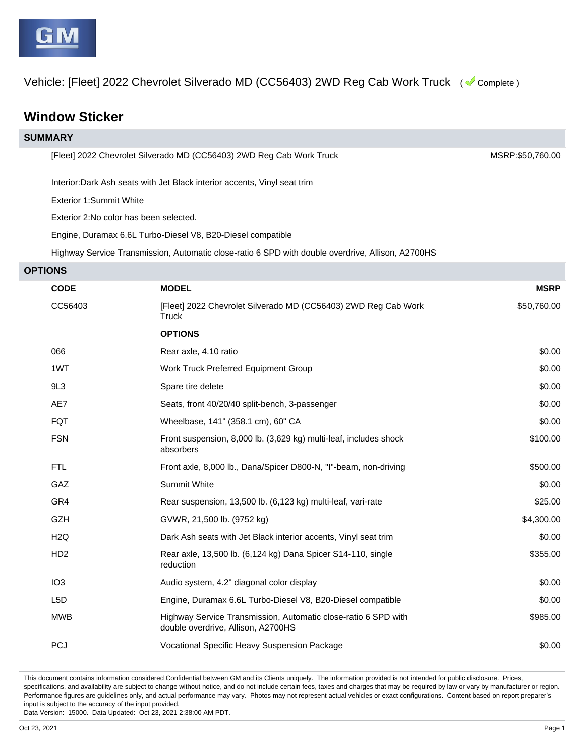Vehicle: [Fleet] 2022 Chevrolet Silverado MD (CC56403) 2WD Reg Cab Work Truck ( Complete )

## **Window Sticker**

| <b>SUMMARY</b>                                                                                    |                                                                                                      |             |  |  |  |
|---------------------------------------------------------------------------------------------------|------------------------------------------------------------------------------------------------------|-------------|--|--|--|
| [Fleet] 2022 Chevrolet Silverado MD (CC56403) 2WD Reg Cab Work Truck                              |                                                                                                      |             |  |  |  |
| Interior: Dark Ash seats with Jet Black interior accents, Vinyl seat trim                         |                                                                                                      |             |  |  |  |
| Exterior 1:Summit White                                                                           |                                                                                                      |             |  |  |  |
| Exterior 2: No color has been selected.                                                           |                                                                                                      |             |  |  |  |
| Engine, Duramax 6.6L Turbo-Diesel V8, B20-Diesel compatible                                       |                                                                                                      |             |  |  |  |
| Highway Service Transmission, Automatic close-ratio 6 SPD with double overdrive, Allison, A2700HS |                                                                                                      |             |  |  |  |
| <b>OPTIONS</b>                                                                                    |                                                                                                      |             |  |  |  |
| <b>CODE</b>                                                                                       | <b>MODEL</b>                                                                                         | <b>MSRP</b> |  |  |  |
| CC56403                                                                                           | [Fleet] 2022 Chevrolet Silverado MD (CC56403) 2WD Reg Cab Work<br>Truck                              | \$50,760.00 |  |  |  |
|                                                                                                   | <b>OPTIONS</b>                                                                                       |             |  |  |  |
| 066                                                                                               | Rear axle, 4.10 ratio                                                                                | \$0.00      |  |  |  |
| 1WT                                                                                               | Work Truck Preferred Equipment Group                                                                 | \$0.00      |  |  |  |
| 9L3                                                                                               | Spare tire delete                                                                                    | \$0.00      |  |  |  |
| AE7                                                                                               | Seats, front 40/20/40 split-bench, 3-passenger                                                       | \$0.00      |  |  |  |
| <b>FQT</b>                                                                                        | Wheelbase, 141" (358.1 cm), 60" CA                                                                   | \$0.00      |  |  |  |
| <b>FSN</b>                                                                                        | Front suspension, 8,000 lb. (3,629 kg) multi-leaf, includes shock<br>absorbers                       | \$100.00    |  |  |  |
| <b>FTL</b>                                                                                        | Front axle, 8,000 lb., Dana/Spicer D800-N, "I"-beam, non-driving                                     | \$500.00    |  |  |  |
| GAZ                                                                                               | Summit White                                                                                         | \$0.00      |  |  |  |
| GR4                                                                                               | Rear suspension, 13,500 lb. (6,123 kg) multi-leaf, vari-rate                                         | \$25.00     |  |  |  |
| <b>GZH</b>                                                                                        | GVWR, 21,500 lb. (9752 kg)                                                                           | \$4,300.00  |  |  |  |
| H <sub>2</sub> Q                                                                                  | Dark Ash seats with Jet Black interior accents, Vinyl seat trim                                      | \$0.00      |  |  |  |
| H <sub>D2</sub>                                                                                   | Rear axle, 13,500 lb. (6,124 kg) Dana Spicer S14-110, single<br>reduction                            | \$355.00    |  |  |  |
| IO <sub>3</sub>                                                                                   | Audio system, 4.2" diagonal color display                                                            | \$0.00      |  |  |  |
| L <sub>5</sub> D                                                                                  | Engine, Duramax 6.6L Turbo-Diesel V8, B20-Diesel compatible                                          | \$0.00      |  |  |  |
| <b>MWB</b>                                                                                        | Highway Service Transmission, Automatic close-ratio 6 SPD with<br>double overdrive, Allison, A2700HS | \$985.00    |  |  |  |
| <b>PCJ</b>                                                                                        | Vocational Specific Heavy Suspension Package                                                         | \$0.00      |  |  |  |

This document contains information considered Confidential between GM and its Clients uniquely. The information provided is not intended for public disclosure. Prices, specifications, and availability are subject to change without notice, and do not include certain fees, taxes and charges that may be required by law or vary by manufacturer or region. Performance figures are guidelines only, and actual performance may vary. Photos may not represent actual vehicles or exact configurations. Content based on report preparer's input is subject to the accuracy of the input provided.

Data Version: 15000. Data Updated: Oct 23, 2021 2:38:00 AM PDT.